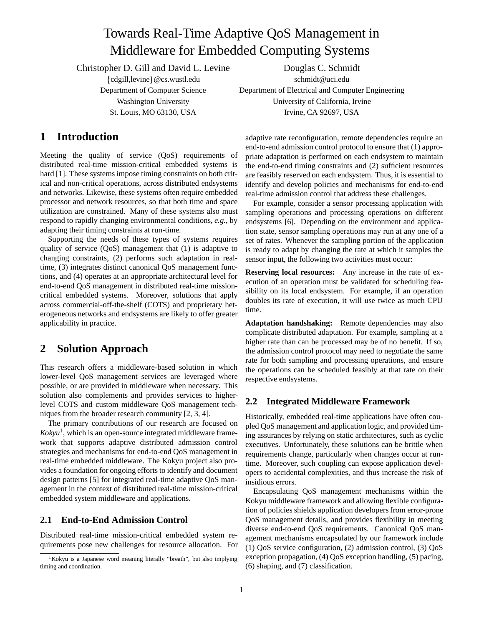# Towards Real-Time Adaptive QoS Management in Middleware for Embedded Computing Systems

Christopher D. Gill and David L. Levine Douglas C. Schmidt

{cdgill,levine} @cs.wustl.edu schmidt@uci.edu Department of Computer Science Department of Electrical and Computer Engineering Washington University **University** University of California, Irvine St. Louis, MO 63130, USA Irvine, CA 92697, USA

## **1 Introduction**

Meeting the quality of service (QoS) requirements of distributed real-time mission-critical embedded systems is hard [1]. These systems impose timing constraints on both critical and non-critical operations, across distributed endsystems and networks. Likewise, these systems often require embedded processor and network resources, so that both time and space utilization are constrained. Many of these systems also must respond to rapidly changing environmental conditions, *e.g.*, by adapting their timing constraints at run-time.

Supporting the needs of these types of systems requires quality of service (QoS) management that (1) is adaptive to changing constraints, (2) performs such adaptation in realtime, (3) integrates distinct canonical QoS management functions, and (4) operates at an appropriate architectural level for end-to-end QoS management in distributed real-time missioncritical embedded systems. Moreover, solutions that apply across commercial-off-the-shelf (COTS) and proprietary heterogeneous networks and endsystems are likely to offer greater applicability in practice.

## **2 Solution Approach**

This research offers a middleware-based solution in which lower-level QoS management services are leveraged where possible, or are provided in middleware when necessary. This solution also complements and provides services to higherlevel COTS and custom middleware QoS management techniques from the broader research community [2, 3, 4].

The primary contributions of our research are focused on *Kokyu*1, which is an open-source integrated middleware framework that supports adaptive distributed admission control strategies and mechanisms for end-to-end QoS management in real-time embedded middleware. The Kokyu project also provides a foundation for ongoing efforts to identify and document design patterns [5] for integrated real-time adaptive QoS management in the context of distributed real-time mission-critical embedded system middleware and applications.

#### **2.1 End-to-End Admission Control**

Distributed real-time mission-critical embedded system requirements pose new challenges for resource allocation. For adaptive rate reconfiguration, remote dependencies require an end-to-end admission control protocol to ensure that (1) appropriate adaptation is performed on each endsystem to maintain the end-to-end timing constraints and (2) sufficient resources are feasibly reserved on each endsystem. Thus, it is essential to identify and develop policies and mechanisms for end-to-end real-time admission control that address these challenges.

For example, consider a sensor processing application with sampling operations and processing operations on different endsystems [6]. Depending on the environment and application state, sensor sampling operations may run at any one of a set of rates. Whenever the sampling portion of the application is ready to adapt by changing the rate at which it samples the sensor input, the following two activities must occur:

**Reserving local resources:** Any increase in the rate of execution of an operation must be validated for scheduling feasibility on its local endsystem. For example, if an operation doubles its rate of execution, it will use twice as much CPU time.

**Adaptation handshaking:** Remote dependencies may also complicate distributed adaptation. For example, sampling at a higher rate than can be processed may be of no benefit. If so, the admission control protocol may need to negotiate the same rate for both sampling and processing operations, and ensure the operations can be scheduled feasibly at that rate on their respective endsystems.

#### **2.2 Integrated Middleware Framework**

Historically, embedded real-time applications have often coupled QoS management and application logic, and provided timing assurances by relying on static architectures, such as cyclic executives. Unfortunately, these solutions can be brittle when requirements change, particularly when changes occur at runtime. Moreover, such coupling can expose application developers to accidental complexities, and thus increase the risk of insidious errors.

Encapsulating QoS management mechanisms within the Kokyu middleware framework and allowing flexible configuration of policies shields application developers from error-prone QoS management details, and provides flexibility in meeting diverse end-to-end QoS requirements. Canonical QoS management mechanisms encapsulated by our framework include (1) QoS service configuration, (2) admission control, (3) QoS exception propagation, (4) QoS exception handling, (5) pacing, (6) shaping, and (7) classification.

<sup>&</sup>lt;sup>1</sup>Kokyu is a Japanese word meaning literally "breath", but also implying timing and coordination.